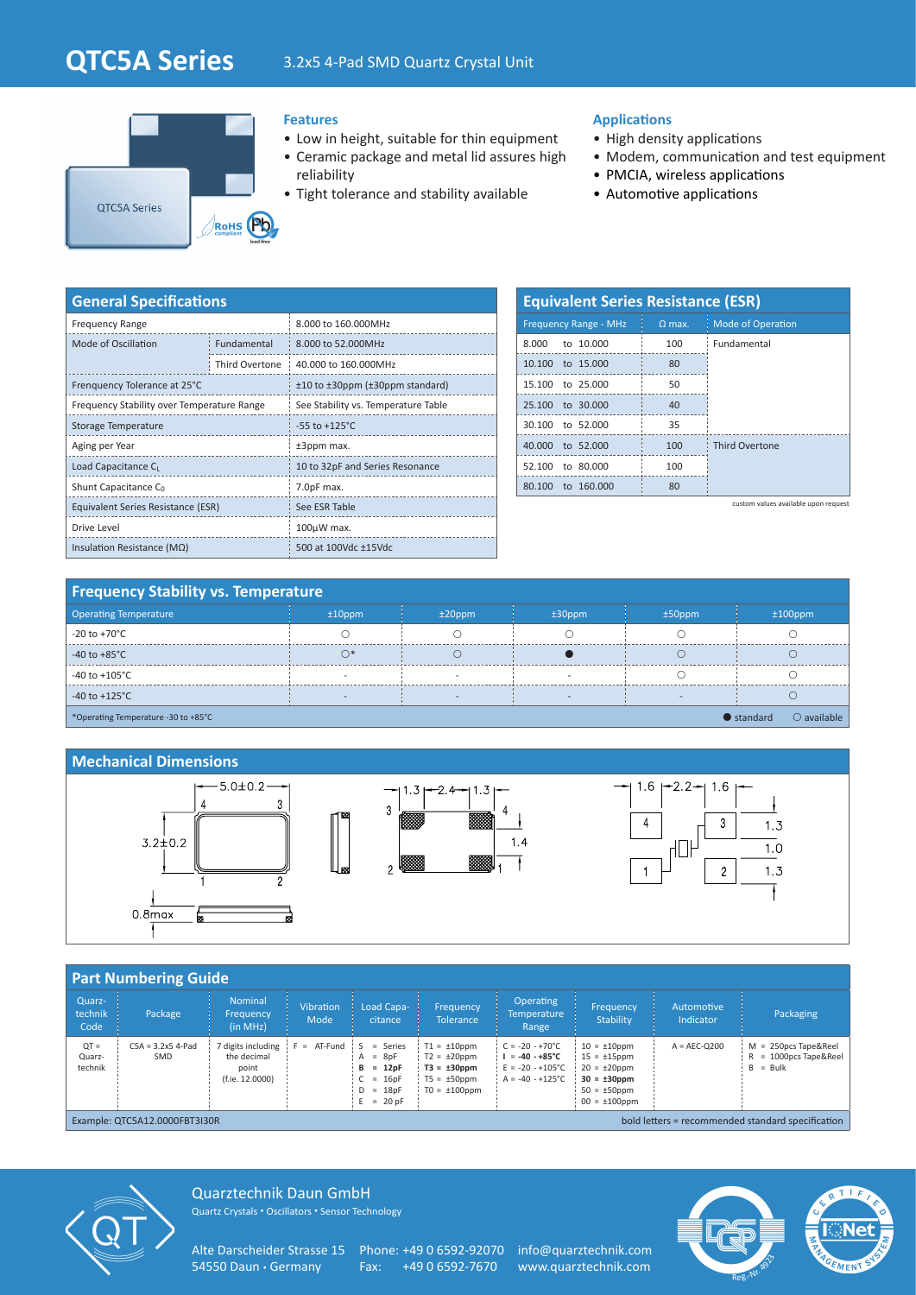# **QTC5A Series** 3.2x5 4-Pad SMD Quartz Crystal Unit



### **Features**

- Low in height, suitable for thin equipment
- Ceramic package and metal lid assures high reliability
- Tight tolerance and stability available

### **Applications**

- High density applications
- Modem, communication and test equipment
- PMCIA, wireless applications
- Automotive applications

| <b>General Specifications</b>              |                |                                     |  |  |  |  |
|--------------------------------------------|----------------|-------------------------------------|--|--|--|--|
| <b>Frequency Range</b>                     |                | 8.000 to 160.000MHz                 |  |  |  |  |
| Mode of Oscillation                        | Fundamental    | 8.000 to 52.000MHz                  |  |  |  |  |
|                                            | Third Overtone | 40,000 to 160,000MHz                |  |  |  |  |
| Frenquency Tolerance at 25°C               |                | ±10 to ±30ppm (±30ppm standard)     |  |  |  |  |
| Frequency Stability over Temperature Range |                | See Stability vs. Temperature Table |  |  |  |  |
| Storage Temperature                        |                | $-55$ to $+125^{\circ}$ C           |  |  |  |  |
| Aging per Year                             |                | ±3ppm max.                          |  |  |  |  |
| Load Capacitance C                         |                | 10 to 32pF and Series Resonance     |  |  |  |  |
| Shunt Capacitance C <sub>0</sub>           |                | 7.0pF max.                          |  |  |  |  |
| Equivalent Series Resistance (ESR)         |                | See ESR Table                       |  |  |  |  |
| Drive Level                                |                | $100\mu W$ max.                     |  |  |  |  |
| Insulation Resistance ( $M\Omega$ )        |                | 500 at 100Vdc ±15Vdc                |  |  |  |  |

| <b>Equivalent Series Resistance (ESR)</b> |               |                          |  |  |  |  |  |  |
|-------------------------------------------|---------------|--------------------------|--|--|--|--|--|--|
| <b>Frequency Range - MHz</b>              | $\Omega$ max. | <b>Mode of Operation</b> |  |  |  |  |  |  |
| 8,000 to 10,000                           | 100           | Fundamental              |  |  |  |  |  |  |
| 10.100 to 15.000                          | 80            |                          |  |  |  |  |  |  |
| 15.100 to 25.000                          | 50            |                          |  |  |  |  |  |  |
| 25,100 to 30,000                          | 40            |                          |  |  |  |  |  |  |
| 30.100 to 52,000                          | 35            |                          |  |  |  |  |  |  |
| 40,000 to 52,000                          | 100           | <b>Third Overtone</b>    |  |  |  |  |  |  |
| 52.100 to 80.000                          | 100           |                          |  |  |  |  |  |  |
| to 160,000<br>80.100                      | 80            |                          |  |  |  |  |  |  |

custom values available upon request

## **Frequency Stability vs. Temperature**

| <b>Operating Temperature</b>                                                      | $±10$ ppm | $±20$ ppm | $±30$ ppm | $±50$ ppm | $±100$ ppm |  |  |
|-----------------------------------------------------------------------------------|-----------|-----------|-----------|-----------|------------|--|--|
| $-20$ to $+70^{\circ}$ C                                                          |           |           |           |           |            |  |  |
| $-40$ to $+85^{\circ}$ C                                                          |           |           |           |           |            |  |  |
| -40 to +105 $^{\circ}$ C                                                          |           |           |           |           |            |  |  |
| -40 to +125 $^{\circ}$ C                                                          |           |           |           |           |            |  |  |
| $\bullet$ standard<br>$\bigcirc$ available<br>*Operating Temperature -30 to +85°C |           |           |           |           |            |  |  |

#### **Mechanical Dimensions**





| <b>Part Numbering Guide</b>                                                        |                            |                                                               |                          |                                                                                               |                                                                                                     |                                                                                                          |                                                                                                                             |                         |                                                                        |  |
|------------------------------------------------------------------------------------|----------------------------|---------------------------------------------------------------|--------------------------|-----------------------------------------------------------------------------------------------|-----------------------------------------------------------------------------------------------------|----------------------------------------------------------------------------------------------------------|-----------------------------------------------------------------------------------------------------------------------------|-------------------------|------------------------------------------------------------------------|--|
| Quarz-<br>technik<br>Code                                                          | Package                    | <b>Nominal</b><br>Frequency<br>(in MHz)                       | <b>Vibration</b><br>Mode | Load Capa-<br>citance                                                                         | Frequency<br><b>Tolerance</b>                                                                       | <b>Operating</b><br><b>Temperature</b><br>Range                                                          | Frequency<br>Stability                                                                                                      | Automotive<br>Indicator | Packaging                                                              |  |
| $QT =$<br>Quarz-<br>technik                                                        | $C5A = 3.2x5$ 4-Pad<br>SMD | 7 digits including<br>the decimal<br>point<br>(f.ie. 12.0000) | AT-Fund<br>$F =$         | $\cdot$ S<br>= Series<br>$=$ 8pF<br>A<br>$= 12pF$<br>в<br>$= 16pF$<br>$= 18pF$<br>$E = 20 pF$ | $T1 = \pm 10$ ppm<br>$T2 = \pm 20$ ppm<br>$T3 = \pm 30$ ppm<br>$T5 = \pm 50$ ppm<br>$TO = ±100$ ppm | $C = -20 - +70^{\circ}C$<br>$I = -40 - +85^{\circ}C$<br>$E = -20 - +105^{\circ}C$<br>$A = -40 - +125$ °C | $10 = \pm 10$ ppm<br>$15 = \pm 15$ ppm<br>$20 = \pm 20$ ppm<br>$30 = \pm 30$ ppm<br>$50 = \pm 50$ ppm<br>$00 = \pm 100$ ppm | $A = AEC-O200$          | $M = 250pcs$ Tape&Reel<br>$= 1000$ pcs Tape&Reel<br>R<br>$=$ Bulk<br>B |  |
| bold letters = recommended standard specification<br>Example: QTC5A12.0000FBT3I30R |                            |                                                               |                          |                                                                                               |                                                                                                     |                                                                                                          |                                                                                                                             |                         |                                                                        |  |



Quarztechnik Daun GmbH Quartz Crystals • Oscillators • Sensor Technology

Alte Darscheider Strasse 15 Phone: +49 0 6592-92070 info@quarztechnik.com<br>54550 Daun · Germany Fax: +49 0 6592-7670 www.quarztechnik.com

Fax: +49 0 6592-7670 www.quarztechnik.com